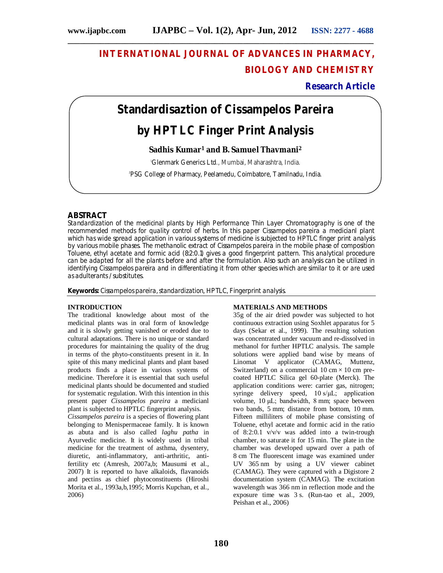## **INTERNATIONAL JOURNAL OF ADVANCES IN PHARMACY, BIOLOGY AND CHEMISTRY**

## **Research Article**

# **Standardisaztion of** *Cissampelos Pareira* **by HPTLC Finger Print Analysis**

**\_\_\_\_\_\_\_\_\_\_\_\_\_\_\_\_\_\_\_\_\_\_\_\_\_\_\_\_\_\_\_\_\_\_\_\_\_\_\_\_\_\_\_\_\_\_\_\_\_\_\_\_\_\_\_\_\_\_\_\_\_\_\_\_\_\_\_\_\_\_\_\_\_\_\_**

## **Sadhis Kumar<sup>1</sup> and B. Samuel Thavmani<sup>2</sup>**

<sup>1</sup>Glenmark Generics Ltd., Mumbai, Maharashtra, India.

2 PSG College of Pharmacy, Peelamedu, Coimbatore, Tamilnadu, India.

## **ABSTRACT**

Standardization of the medicinal plants by High Performance Thin Layer Chromatography is one of the recommended methods for quality control of herbs. In this paper *Cissampelos pareira* a medicianl plant which has wide spread application in various systems of medicine is subjected to HPTLC finger print analysis by various mobile phases. The methanolic extract of *Cissampelos pareira* in the mobile phase of composition Toluene, ethyl acetate and formic acid (8:2:0.1) gives a good fingerprint pattern. This analytical procedure can be adapted for all the plants before and after the formulation. Also such an analysis can be utilized in identifying *Cissampelos pareira* and in differentiating it from other species which are similar to it or are used as adulterants / substitutes.

**Keywords:** *Cissampelos pareira*, standardization, HPTLC, Fingerprint analysis.

#### **INTRODUCTION**

The traditional knowledge about most of the medicinal plants was in oral form of knowledge and it is slowly getting vanished or eroded due to cultural adaptations. There is no unique or standard procedures for maintaining the quality of the drug in terms of the phyto-constituents present in it. In spite of this many medicinal plants and plant based products finds a place in various systems of medicine. Therefore it is essential that such useful medicinal plants should be documented and studied for systematic regulation. With this intention in this present paper *Cissampelos pareira* a medicianl plant is subjected to HPTLC fingerprint analysis.

*Cissampelos pareira* is a species of flowering plant belonging to Menispermaceae family. It is known as abuta and is also called *laghu patha* in Ayurvedic medicine. It is widely used in tribal medicine for the treatment of asthma, dysentery, diuretic, anti-inflammatory, anti-arthritic, antifertility etc (Amresh, 2007a,b; Mausumi et al., 2007) It is reported to have alkaloids, flavanoids and pectins as chief phytoconstituents (Hiroshi Morita et al., 1993a,b,1995; Morris Kupchan, et al., 2006)

#### **MATERIALS AND METHODS**

35g of the air dried powder was subjected to hot continuous extraction using Soxhlet apparatus for 5 days (Sekar et al., 1999). The resulting solution was concentrated under vacuum and re-dissolved in methanol for further HPTLC analysis. The sample solutions were applied band wise by means of Linomat V applicator (CAMAG, Muttenz, Switzerland) on a commercial  $10 \text{ cm} \times 10 \text{ cm}$  precoated HPTLC Silica gel 60-plate (Merck). The application conditions were: carrier gas, nitrogen; syringe delivery speed, 10 s/μL; application volume, 10 μL; bandwidth, 8 mm; space between two bands, 5 mm; distance from bottom, 10 mm. Fifteen milliliters of mobile phase consisting of Toluene, ethyl acetate and formic acid in the ratio of 8:2:0.1 v/v/v was added into a twin-trough chamber, to saturate it for 15 min. The plate in the chamber was developed upward over a path of 8 cm The fluorescent image was examined under UV 365 nm by using a UV viewer cabinet (CAMAG). They were captured with a Digistore 2 documentation system (CAMAG). The excitation wavelength was 366 nm in reflection mode and the exposure time was 3 s. (Run-tao et al., 2009, Peishan et al., 2006)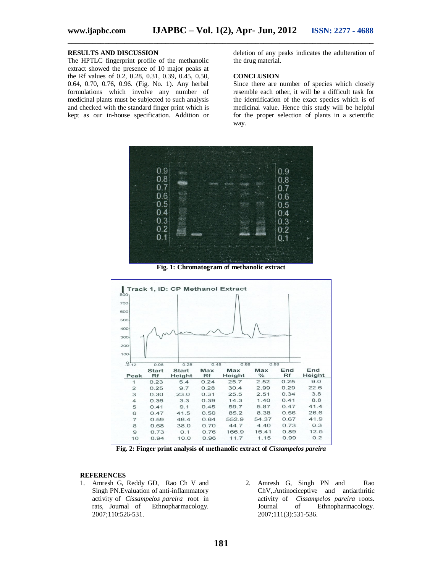#### **RESULTS AND DISCUSSION**

The HPTLC fingerprint profile of the methanolic extract showed the presence of 10 major peaks at the Rf values of 0.2, 0.28, 0.31, 0.39, 0.45, 0.50, 0.64, 0.70, 0.76, 0.96. (Fig. No. 1). Any herbal formulations which involve any number of medicinal plants must be subjected to such analysis and checked with the standard finger print which is kept as our in-house specification. Addition or deletion of any peaks indicates the adulteration of the drug material.

#### **CONCLUSION**

Since there are number of species which closely resemble each other, it will be a difficult task for the identification of the exact species which is of medicinal value. Hence this study will be helpful for the proper selection of plants in a scientific way.



**\_\_\_\_\_\_\_\_\_\_\_\_\_\_\_\_\_\_\_\_\_\_\_\_\_\_\_\_\_\_\_\_\_\_\_\_\_\_\_\_\_\_\_\_\_\_\_\_\_\_\_\_\_\_\_\_\_\_\_\_\_\_\_\_\_\_\_\_\_\_\_\_\_\_\_**

**Fig. 1: Chromatogram of methanolic extract**



**Fig. 2: Finger print analysis of methanolic extract of** *Cissampelos pareira*

#### **REFERENCES**

- 1. Amresh G, Reddy GD, Rao Ch V and Singh PN.Evaluation of anti-inflammatory activity of *Cissampelos pareira* root in Ethnopharmacology. 2007;110:526-531.
- 2. Amresh G, Singh PN and Rao ChV,.Antinociceptive and antiarthritic activity of *Cissampelos pareira* roots. Journal of Ethnopharmacology. 2007;111(3):531-536.